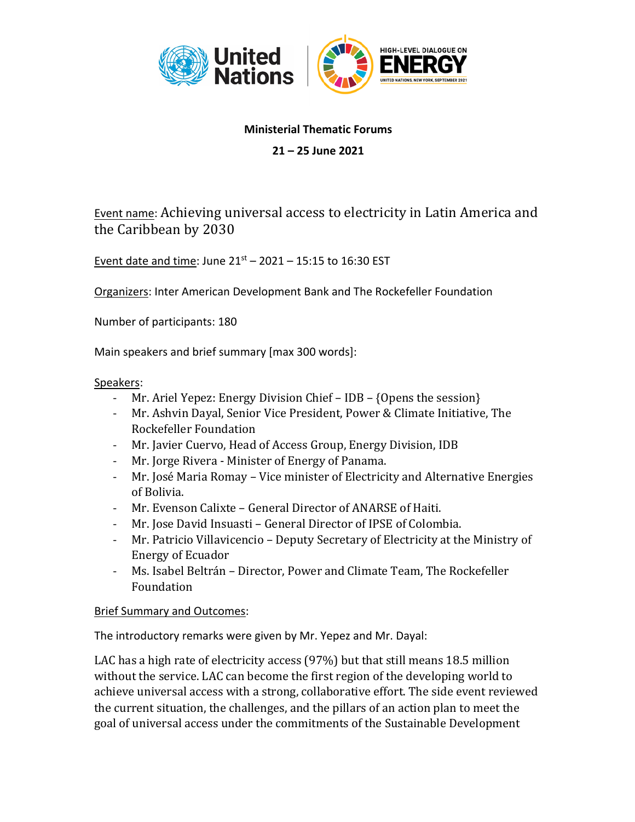

## **Ministerial Thematic Forums**

**21 – 25 June 2021**

Event name: Achieving universal access to electricity in Latin America and the Caribbean by 2030

Event date and time: June  $21^{st}$  – 2021 – 15:15 to 16:30 EST

Organizers: Inter American Development Bank and The Rockefeller Foundation

Number of participants: 180

Main speakers and brief summary [max 300 words]:

## Speakers:

- Mr. Ariel Yepez: Energy Division Chief  $-$  IDB  $-$  {Opens the session}
- Mr. Ashvin Dayal, Senior Vice President, Power & Climate Initiative, The Rockefeller Foundation
- Mr. Javier Cuervo, Head of Access Group, Energy Division, IDB
- Mr. Jorge Rivera Minister of Energy of Panama.
- Mr. José Maria Romay Vice minister of Electricity and Alternative Energies of Bolivia.
- Mr. Evenson Calixte General Director of ANARSE of Haiti.
- Mr. Jose David Insuasti General Director of IPSE of Colombia.
- Mr. Patricio Villavicencio Deputy Secretary of Electricity at the Ministry of Energy of Ecuador
- Ms. Isabel Beltrán Director, Power and Climate Team, The Rockefeller Foundation

## Brief Summary and Outcomes:

The introductory remarks were given by Mr. Yepez and Mr. Dayal:

LAC has a high rate of electricity access (97%) but that still means 18.5 million without the service. LAC can become the first region of the developing world to achieve universal access with a strong, collaborative effort. The side event reviewed the current situation, the challenges, and the pillars of an action plan to meet the goal of universal access under the commitments of the Sustainable Development